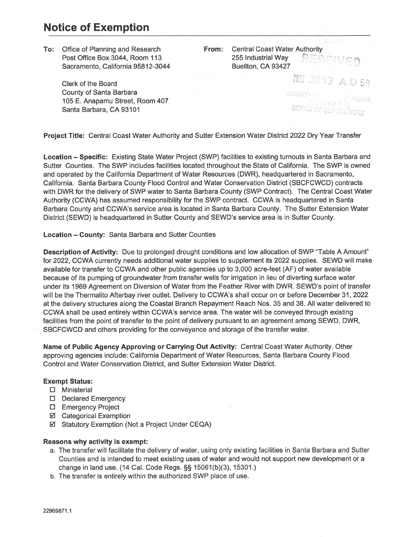## **Notice of Exemption**

**To:** Office of Planning and Research Post Office Box 3044, Room 113 Sacramento, California 95812-3044

> Clerk of the Board County of Santa Barbara 105 E. Anapamu Street, Room 407 Santa Barbara, CA 93101

**From:** Central Coast Water Authority 255 Industrial Way Buellton, CA 93427

*r-r.- -*  -· ~-. ,.\_.,,

COUNTY

2022 JUNY 3

SUPERVISORS

**Project Title:** Central Coast Water Authority and Sutter Extension Water District 2022 Dry Year Transfer

**Location - Specific:** Existing State Water Project (SWP) facilities to existing turnouts in Santa Barbara and Sutter Counties. The SWP includes facilities located throughout the State of California. The SWP is owned and operated by the California Department of Water Resources (DWR), headquartered in Sacramento, California. Santa Barbara County Flood Control and Water Conservation District (SBCFCWCD) contracts with DWR for the delivery of SWP water to Santa Barbara County (SWP Contract). The Central Coast Water Authority (CCWA) has assumed responsibility for the SWP contract. CCWA is headquartered in Santa Barbara County and CCWA's service area is located in Santa Barbara County. The Sutter Extension Water District (SEWD) is headquartered in Sutter County and SEWD's service area is in Sutter County.

## **Location - County:** Santa Barbara and Sutter Counties

**Description of Activity:** Due to prolonged drought conditions and low allocation of SWP "Table A Amount" for 2022, CCWA currently needs additional water supplies to supplement its 2022 supplies. SEWD will make available for transfer to CCWA and other public agencies up to 3,000 acre-feet (AF) of water available because of its pumping of groundwater from transfer wells for irrigation in lieu of diverting surface water , under its 1969 Agreement on Diversion of Water from the Feather River with DWR. SEWD's point of transfer will be the Thermalito Afterbay river outlet. Delivery to CCWA's shall occur on or before December 31, 2022 at the delivery structures along the Coastal Branch Repayment Reach Nos. 35 and 38. All water delivered to CCWA shall be used entirely within CCWA's service area. The water will be conveyed through existing facilities from the point of transfer to the point of delivery pursuant to an agreement among SEWD, DWR, SBCFCWCD and others providing for the conveyance and storage of the transfer water.

**Name of Public Agency Approving or Carrying Out Activity:** Central Coast Water Authority. Other approving agencies include: California Department of Water Resources, Santa Barbara County Flood Control and Water Conservation District, and Sutter Extension Water District.

## **Exempt Status:**

- **D** Ministerial
- D Declared Emergency
- **D** Emergency Project
- Categorical Exemption
- Statutory Exemption (Not a Project Under CEQA)

## **Reasons why activity is exempt:**

- a. The transfer will facilitate the delivery of water, using only existing facilities in Santa Barbara and Sutter Counties and is intended to meet existing uses of water and would not support new development or a change in land use. (14 Cal. Code Regs.§§ 15061(b)(3), 15301.)
- b. The transfer is entirely within the authorized SWP place of use.